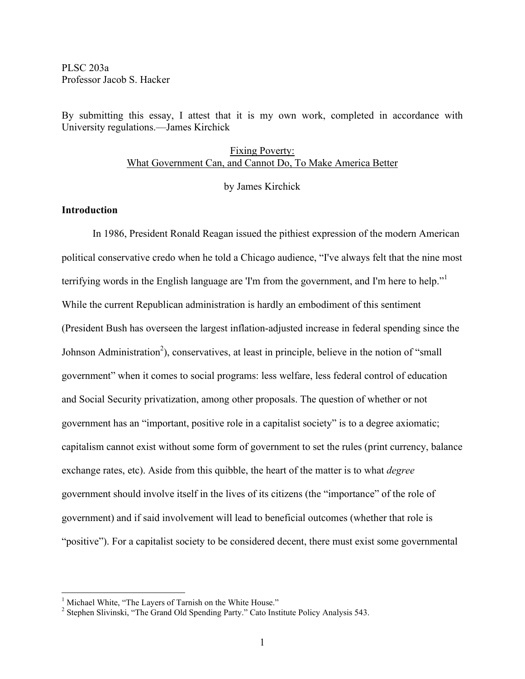PLSC 203a Professor Jacob S. Hacker

By submitting this essay, I attest that it is my own work, completed in accordance with University regulations.—James Kirchick

# Fixing Poverty: What Government Can, and Cannot Do, To Make America Better

by James Kirchick

## **Introduction**

In 1986, President Ronald Reagan issued the pithiest expression of the modern American political conservative credo when he told a Chicago audience, "I've always felt that the nine most terrifying words in the English language are 'I'm from the government, and I'm here to help."<sup>1</sup> While the current Republican administration is hardly an embodiment of this sentiment (President Bush has overseen the largest inflation-adjusted increase in federal spending since the Johnson Administration<sup>2</sup>), conservatives, at least in principle, believe in the notion of "small government" when it comes to social programs: less welfare, less federal control of education and Social Security privatization, among other proposals. The question of whether or not government has an "important, positive role in a capitalist society" is to a degree axiomatic; capitalism cannot exist without some form of government to set the rules (print currency, balance exchange rates, etc). Aside from this quibble, the heart of the matter is to what *degree* government should involve itself in the lives of its citizens (the "importance" of the role of government) and if said involvement will lead to beneficial outcomes (whether that role is "positive"). For a capitalist society to be considered decent, there must exist some governmental

<sup>&</sup>lt;sup>1</sup> Michael White, "The Layers of Tarnish on the White House." 2 Stephen Slivinski, "The Grand Old Spending Party." Cato Institute Policy Analysis 543.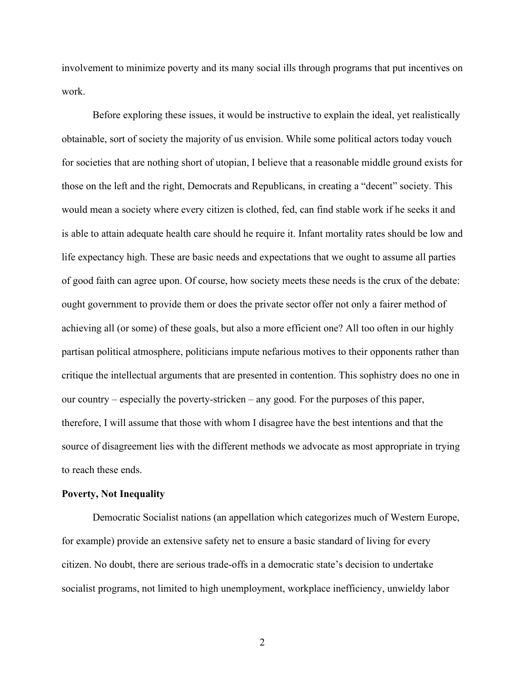involvement to minimize poverty and its many social ills through programs that put incentives on work.

Before exploring these issues, it would be instructive to explain the ideal, yet realistically obtainable, sort of society the majority of us envision. While some political actors today vouch for societies that are nothing short of utopian, I believe that a reasonable middle ground exists for those on the left and the right, Democrats and Republicans, in creating a "decent" society. This would mean a society where every citizen is clothed, fed, can find stable work if he seeks it and is able to attain adequate health care should he require it. Infant mortality rates should be low and life expectancy high. These are basic needs and expectations that we ought to assume all parties of good faith can agree upon. Of course, how society meets these needs is the crux of the debate: ought government to provide them or does the private sector offer not only a fairer method of achieving all (or some) of these goals, but also a more efficient one? All too often in our highly partisan political atmosphere, politicians impute nefarious motives to their opponents rather than critique the intellectual arguments that are presented in contention. This sophistry does no one in our country – especially the poverty-stricken – any good. For the purposes of this paper, therefore, I will assume that those with whom I disagree have the best intentions and that the source of disagreement lies with the different methods we advocate as most appropriate in trying to reach these ends.

#### **Poverty, Not Inequality**

Democratic Socialist nations (an appellation which categorizes much of Western Europe, for example) provide an extensive safety net to ensure a basic standard of living for every citizen. No doubt, there are serious trade-offs in a democratic state's decision to undertake socialist programs, not limited to high unemployment, workplace inefficiency, unwieldy labor

2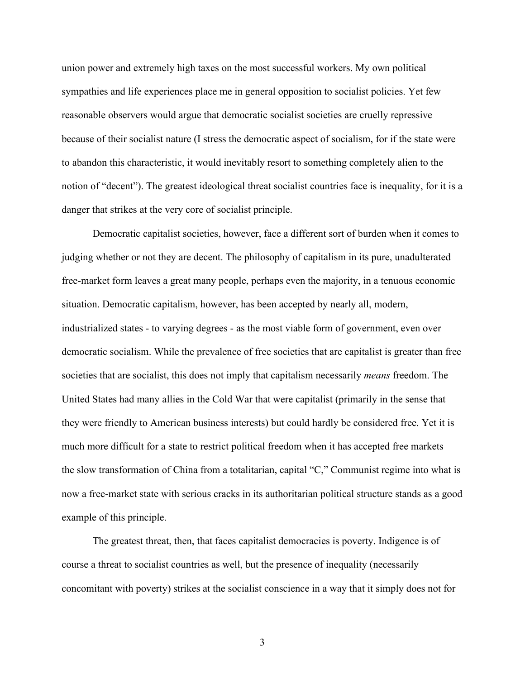union power and extremely high taxes on the most successful workers. My own political sympathies and life experiences place me in general opposition to socialist policies. Yet few reasonable observers would argue that democratic socialist societies are cruelly repressive because of their socialist nature (I stress the democratic aspect of socialism, for if the state were to abandon this characteristic, it would inevitably resort to something completely alien to the notion of "decent"). The greatest ideological threat socialist countries face is inequality, for it is a danger that strikes at the very core of socialist principle.

Democratic capitalist societies, however, face a different sort of burden when it comes to judging whether or not they are decent. The philosophy of capitalism in its pure, unadulterated free-market form leaves a great many people, perhaps even the majority, in a tenuous economic situation. Democratic capitalism, however, has been accepted by nearly all, modern, industrialized states - to varying degrees - as the most viable form of government, even over democratic socialism. While the prevalence of free societies that are capitalist is greater than free societies that are socialist, this does not imply that capitalism necessarily *means* freedom. The United States had many allies in the Cold War that were capitalist (primarily in the sense that they were friendly to American business interests) but could hardly be considered free. Yet it is much more difficult for a state to restrict political freedom when it has accepted free markets – the slow transformation of China from a totalitarian, capital "C," Communist regime into what is now a free-market state with serious cracks in its authoritarian political structure stands as a good example of this principle.

The greatest threat, then, that faces capitalist democracies is poverty. Indigence is of course a threat to socialist countries as well, but the presence of inequality (necessarily concomitant with poverty) strikes at the socialist conscience in a way that it simply does not for

3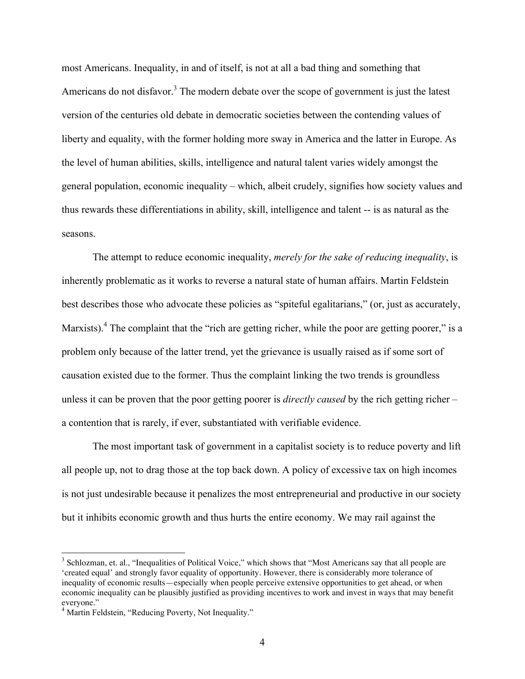most Americans. Inequality, in and of itself, is not at all a bad thing and something that Americans do not disfavor.<sup>3</sup> The modern debate over the scope of government is just the latest version of the centuries old debate in democratic societies between the contending values of liberty and equality, with the former holding more sway in America and the latter in Europe. As the level of human abilities, skills, intelligence and natural talent varies widely amongst the general population, economic inequality – which, albeit crudely, signifies how society values and thus rewards these differentiations in ability, skill, intelligence and talent -- is as natural as the seasons.

The attempt to reduce economic inequality, *merely for the sake of reducing inequality*, is inherently problematic as it works to reverse a natural state of human affairs. Martin Feldstein best describes those who advocate these policies as "spiteful egalitarians," (or, just as accurately, Marxists).<sup>4</sup> The complaint that the "rich are getting richer, while the poor are getting poorer," is a problem only because of the latter trend, yet the grievance is usually raised as if some sort of causation existed due to the former. Thus the complaint linking the two trends is groundless unless it can be proven that the poor getting poorer is *directly caused* by the rich getting richer – a contention that is rarely, if ever, substantiated with verifiable evidence.

The most important task of government in a capitalist society is to reduce poverty and lift all people up, not to drag those at the top back down. A policy of excessive tax on high incomes is not just undesirable because it penalizes the most entrepreneurial and productive in our society but it inhibits economic growth and thus hurts the entire economy. We may rail against the

 $3$  Schlozman, et. al., "Inequalities of Political Voice," which shows that "Most Americans say that all people are 'created equal' and strongly favor equality of opportunity. However, there is considerably more tolerance of inequality of economic results—especially when people perceive extensive opportunities to get ahead, or when economic inequality can be plausibly justified as providing incentives to work and invest in ways that may benefit

<sup>&</sup>lt;sup>4</sup> Martin Feldstein, "Reducing Poverty, Not Inequality."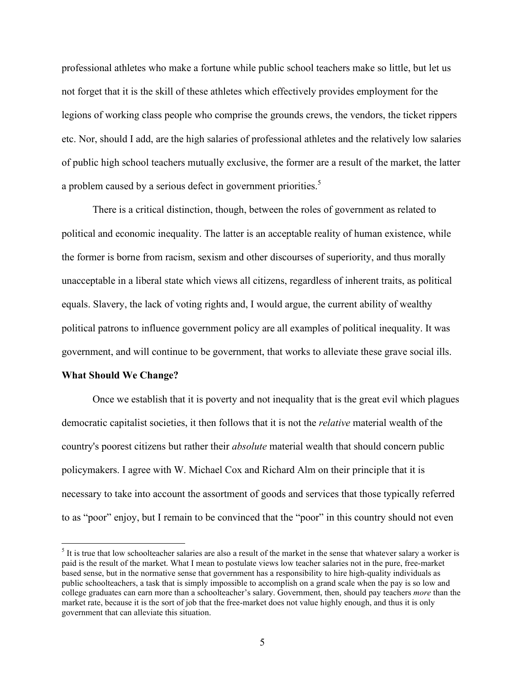professional athletes who make a fortune while public school teachers make so little, but let us not forget that it is the skill of these athletes which effectively provides employment for the legions of working class people who comprise the grounds crews, the vendors, the ticket rippers etc. Nor, should I add, are the high salaries of professional athletes and the relatively low salaries of public high school teachers mutually exclusive, the former are a result of the market, the latter a problem caused by a serious defect in government priorities.<sup>5</sup>

There is a critical distinction, though, between the roles of government as related to political and economic inequality. The latter is an acceptable reality of human existence, while the former is borne from racism, sexism and other discourses of superiority, and thus morally unacceptable in a liberal state which views all citizens, regardless of inherent traits, as political equals. Slavery, the lack of voting rights and, I would argue, the current ability of wealthy political patrons to influence government policy are all examples of political inequality. It was government, and will continue to be government, that works to alleviate these grave social ills.

#### **What Should We Change?**

Once we establish that it is poverty and not inequality that is the great evil which plagues democratic capitalist societies, it then follows that it is not the *relative* material wealth of the country's poorest citizens but rather their *absolute* material wealth that should concern public policymakers. I agree with W. Michael Cox and Richard Alm on their principle that it is necessary to take into account the assortment of goods and services that those typically referred to as "poor" enjoy, but I remain to be convinced that the "poor" in this country should not even

 $<sup>5</sup>$  It is true that low schoolteacher salaries are also a result of the market in the sense that whatever salary a worker is</sup> paid is the result of the market. What I mean to postulate views low teacher salaries not in the pure, free-market based sense, but in the normative sense that government has a responsibility to hire high-quality individuals as public schoolteachers, a task that is simply impossible to accomplish on a grand scale when the pay is so low and college graduates can earn more than a schoolteacher's salary. Government, then, should pay teachers *more* than the market rate, because it is the sort of job that the free-market does not value highly enough, and thus it is only government that can alleviate this situation.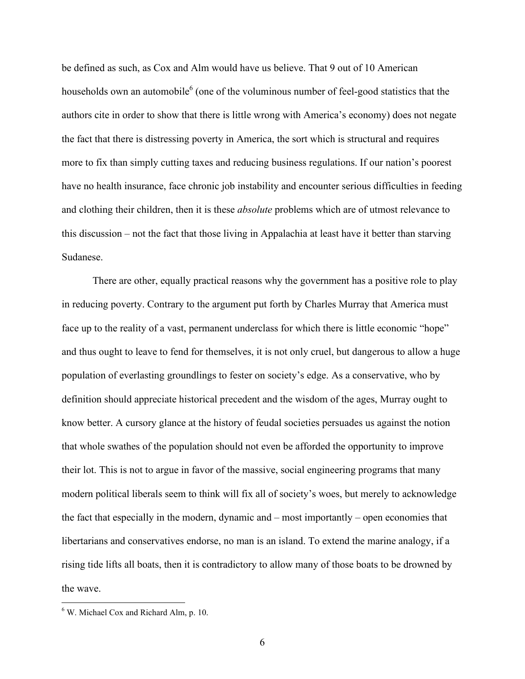be defined as such, as Cox and Alm would have us believe. That 9 out of 10 American households own an automobile<sup>6</sup> (one of the voluminous number of feel-good statistics that the authors cite in order to show that there is little wrong with America's economy) does not negate the fact that there is distressing poverty in America, the sort which is structural and requires more to fix than simply cutting taxes and reducing business regulations. If our nation's poorest have no health insurance, face chronic job instability and encounter serious difficulties in feeding and clothing their children, then it is these *absolute* problems which are of utmost relevance to this discussion – not the fact that those living in Appalachia at least have it better than starving Sudanese.

There are other, equally practical reasons why the government has a positive role to play in reducing poverty. Contrary to the argument put forth by Charles Murray that America must face up to the reality of a vast, permanent underclass for which there is little economic "hope" and thus ought to leave to fend for themselves, it is not only cruel, but dangerous to allow a huge population of everlasting groundlings to fester on society's edge. As a conservative, who by definition should appreciate historical precedent and the wisdom of the ages, Murray ought to know better. A cursory glance at the history of feudal societies persuades us against the notion that whole swathes of the population should not even be afforded the opportunity to improve their lot. This is not to argue in favor of the massive, social engineering programs that many modern political liberals seem to think will fix all of society's woes, but merely to acknowledge the fact that especially in the modern, dynamic and – most importantly – open economies that libertarians and conservatives endorse, no man is an island. To extend the marine analogy, if a rising tide lifts all boats, then it is contradictory to allow many of those boats to be drowned by the wave.

 $6$  W. Michael Cox and Richard Alm, p. 10.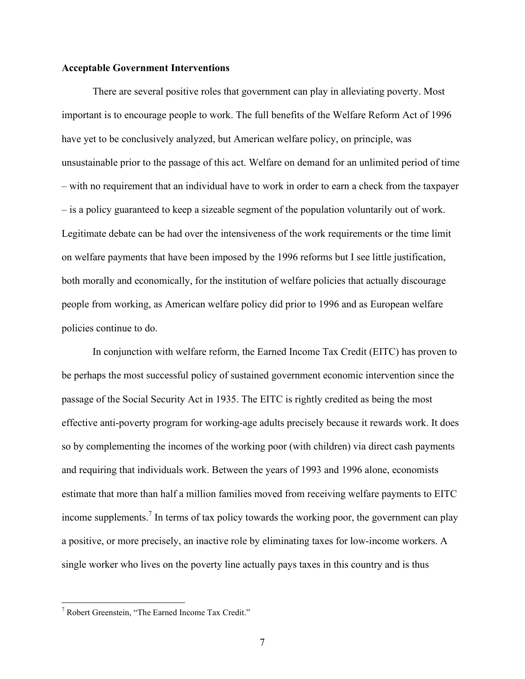## **Acceptable Government Interventions**

There are several positive roles that government can play in alleviating poverty. Most important is to encourage people to work. The full benefits of the Welfare Reform Act of 1996 have yet to be conclusively analyzed, but American welfare policy, on principle, was unsustainable prior to the passage of this act. Welfare on demand for an unlimited period of time – with no requirement that an individual have to work in order to earn a check from the taxpayer – is a policy guaranteed to keep a sizeable segment of the population voluntarily out of work. Legitimate debate can be had over the intensiveness of the work requirements or the time limit on welfare payments that have been imposed by the 1996 reforms but I see little justification, both morally and economically, for the institution of welfare policies that actually discourage people from working, as American welfare policy did prior to 1996 and as European welfare policies continue to do.

In conjunction with welfare reform, the Earned Income Tax Credit (EITC) has proven to be perhaps the most successful policy of sustained government economic intervention since the passage of the Social Security Act in 1935. The EITC is rightly credited as being the most effective anti-poverty program for working-age adults precisely because it rewards work. It does so by complementing the incomes of the working poor (with children) via direct cash payments and requiring that individuals work. Between the years of 1993 and 1996 alone, economists estimate that more than half a million families moved from receiving welfare payments to EITC income supplements.<sup>7</sup> In terms of tax policy towards the working poor, the government can play a positive, or more precisely, an inactive role by eliminating taxes for low-income workers. A single worker who lives on the poverty line actually pays taxes in this country and is thus

 <sup>7</sup> Robert Greenstein, "The Earned Income Tax Credit."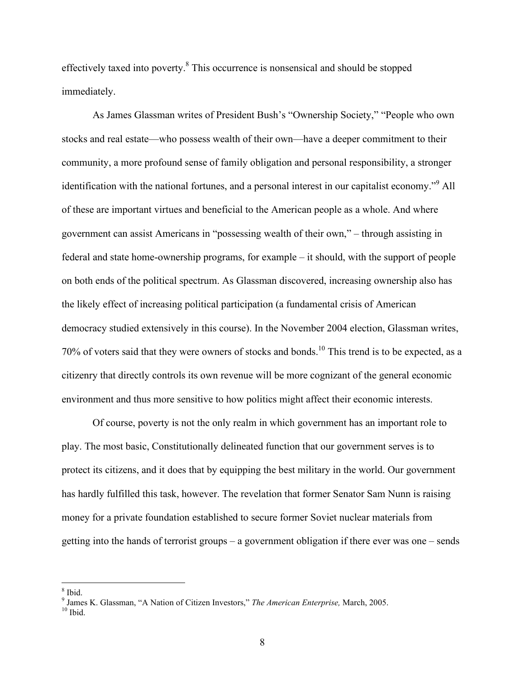effectively taxed into poverty.<sup>8</sup> This occurrence is nonsensical and should be stopped immediately.

As James Glassman writes of President Bush's "Ownership Society," "People who own stocks and real estate—who possess wealth of their own—have a deeper commitment to their community, a more profound sense of family obligation and personal responsibility, a stronger identification with the national fortunes, and a personal interest in our capitalist economy."<sup>9</sup> All of these are important virtues and beneficial to the American people as a whole. And where government can assist Americans in "possessing wealth of their own," – through assisting in federal and state home-ownership programs, for example – it should, with the support of people on both ends of the political spectrum. As Glassman discovered, increasing ownership also has the likely effect of increasing political participation (a fundamental crisis of American democracy studied extensively in this course). In the November 2004 election, Glassman writes, 70% of voters said that they were owners of stocks and bonds.<sup>10</sup> This trend is to be expected, as a citizenry that directly controls its own revenue will be more cognizant of the general economic environment and thus more sensitive to how politics might affect their economic interests.

Of course, poverty is not the only realm in which government has an important role to play. The most basic, Constitutionally delineated function that our government serves is to protect its citizens, and it does that by equipping the best military in the world. Our government has hardly fulfilled this task, however. The revelation that former Senator Sam Nunn is raising money for a private foundation established to secure former Soviet nuclear materials from getting into the hands of terrorist groups – a government obligation if there ever was one – sends

<sup>8</sup> Ibid. <sup>9</sup> James K. Glassman, "A Nation of Citizen Investors," *The American Enterprise,* March, 2005. <sup>10</sup> Ibid.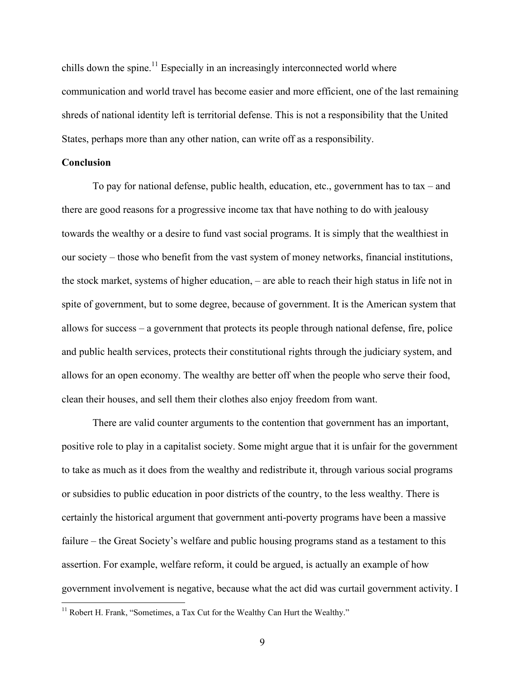chills down the spine.<sup>11</sup> Especially in an increasingly interconnected world where communication and world travel has become easier and more efficient, one of the last remaining shreds of national identity left is territorial defense. This is not a responsibility that the United States, perhaps more than any other nation, can write off as a responsibility.

### **Conclusion**

To pay for national defense, public health, education, etc., government has to tax – and there are good reasons for a progressive income tax that have nothing to do with jealousy towards the wealthy or a desire to fund vast social programs. It is simply that the wealthiest in our society – those who benefit from the vast system of money networks, financial institutions, the stock market, systems of higher education, – are able to reach their high status in life not in spite of government, but to some degree, because of government. It is the American system that allows for success – a government that protects its people through national defense, fire, police and public health services, protects their constitutional rights through the judiciary system, and allows for an open economy. The wealthy are better off when the people who serve their food, clean their houses, and sell them their clothes also enjoy freedom from want.

There are valid counter arguments to the contention that government has an important, positive role to play in a capitalist society. Some might argue that it is unfair for the government to take as much as it does from the wealthy and redistribute it, through various social programs or subsidies to public education in poor districts of the country, to the less wealthy. There is certainly the historical argument that government anti-poverty programs have been a massive failure – the Great Society's welfare and public housing programs stand as a testament to this assertion. For example, welfare reform, it could be argued, is actually an example of how government involvement is negative, because what the act did was curtail government activity. I

<sup>&</sup>lt;sup>11</sup> Robert H. Frank, "Sometimes, a Tax Cut for the Wealthy Can Hurt the Wealthy."